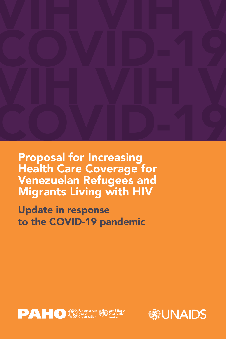

Proposal for Increasing Health Care Coverage for Venezuelan Refugees and Migrants Living with HIV

## Update in response to the COVID-19 pandemic





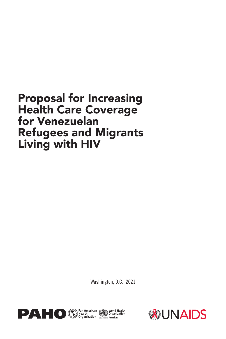## Proposal for Increasing Health Care Coverage for Venezuelan Refugees and Migrants Living with HIV

Washington, D.C., 2021





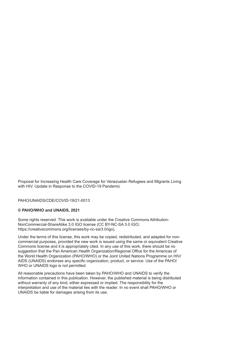Proposal for Increasing Health Care Coverage for Venezuelan Refugees and Migrants Living with HIV. Update in Response to the COVID-19 Pandemic

PAHO/UNAIDS/CDE/COVID-19/21-0013

#### **© PAHO/WHO and UNAIDS, 2021**

Some rights reserved. This work is available under the Creative Commons Attribution-NonCommercial-ShareAlike 3.0 IGO license (CC BY-NC-SA 3.0 IGO; https://creativecommons.org/licenses/by-nc-sa/3.0/igo).

Under the terms of this license, this work may be copied, redistributed, and adapted for noncommercial purposes, provided the new work is issued using the same or equivalent Creative Commons license and it is appropriately cited. In any use of this work, there should be no suggestion that the Pan American Health Organization/Regional Office for the Americas of the World Health Organization (PAHO/WHO) or the Joint United Nations Programme on HIV/ AIDS (UNAIDS) endorses any specific organization, product, or service. Use of the PAHO/ WHO or UNAIDS logo is not permitted.

All reasonable precautions have been taken by PAHO/WHO and UNAIDS to verify the information contained in this publication. However, the published material is being distributed without warranty of any kind, either expressed or implied. The responsibility for the interpretation and use of the material lies with the reader. In no event shall PAHO/WHO or UNAIDS be liable for damages arising from its use.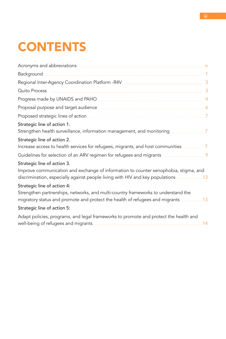# **CONTENTS**

| Acronyms and abbreviations example and abbreviations of the set of the set of the set of the set of the set of                                                                                                                                                                                  |                |
|-------------------------------------------------------------------------------------------------------------------------------------------------------------------------------------------------------------------------------------------------------------------------------------------------|----------------|
|                                                                                                                                                                                                                                                                                                 |                |
|                                                                                                                                                                                                                                                                                                 |                |
| Quito Process                                                                                                                                                                                                                                                                                   |                |
| Progress made by UNAIDS and PAHO <b>ACCESSIBLE 2018</b> 4                                                                                                                                                                                                                                       |                |
| Proposal purpose and target audience <b>contract and the set of the set of the set of the set of the set of the set of the set of the set of the set of the set of the set of the set of the set of the set of the set of the se</b>                                                            |                |
| Proposed strategic lines of action <b>contained a manufacture of the strategic distribution</b>                                                                                                                                                                                                 | $\overline{7}$ |
| Strategic line of action 1.                                                                                                                                                                                                                                                                     |                |
| Strategic line of action 2.<br>Increase access to health services for refugees, migrants, and host communities __________ 7                                                                                                                                                                     |                |
|                                                                                                                                                                                                                                                                                                 |                |
| Strategic line of action 3.<br>Improve communication and exchange of information to counter xenophobia, stigma, and<br>discrimination, especially against people living with HIV and key populations <b>[149]</b> discrimination, especially against people living with HIV and key populations |                |
| Strategic line of action 4:<br>Strengthen partnerships, networks, and multi-country frameworks to understand the<br>migratory status and promote and protect the health of refugees and migrants 2008 13                                                                                        |                |
| Strategic line of action 5:                                                                                                                                                                                                                                                                     |                |
| Adapt policies, programs, and legal frameworks to promote and protect the health and                                                                                                                                                                                                            | 14             |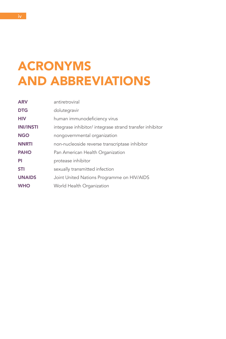# ACRONYMS AND ABBREVIATIONS

| <b>ARV</b>       | antiretroviral                                           |
|------------------|----------------------------------------------------------|
| <b>DTG</b>       | dolutegravir                                             |
| <b>HIV</b>       | human immunodeficiency virus                             |
| <b>INI/INSTI</b> | integrase inhibitor/ integrase strand transfer inhibitor |
| <b>NGO</b>       | nongovernmental organization                             |
| <b>NNRTI</b>     | non-nucleoside reverse transcriptase inhibitor           |
| <b>PAHO</b>      | Pan American Health Organization                         |
| PI               | protease inhibitor                                       |
| <b>STI</b>       | sexually transmitted infection                           |
| <b>UNAIDS</b>    | Joint United Nations Programme on HIV/AIDS               |
| <b>WHO</b>       | World Health Organization                                |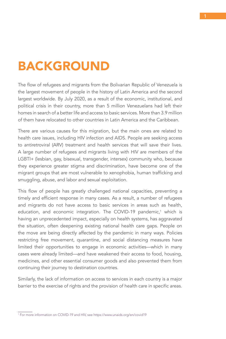## BACKGROUND

The flow of refugees and migrants from the Bolivarian Republic of Venezuela is the largest movement of people in the history of Latin America and the second largest worldwide. By July 2020, as a result of the economic, institutional, and political crisis in their country, more than 5 million Venezuelans had left their homes in search of a better life and access to basic services. More than 3.9 million of them have relocated to other countries in Latin America and the Caribbean.

There are various causes for this migration, but the main ones are related to health care issues, including HIV infection and AIDS. People are seeking access to antiretroviral (ARV) treatment and health services that will save their lives. A large number of refugees and migrants living with HIV are members of the LGBTI+ (lesbian, gay, bisexual, transgender, intersex) community who, because they experience greater stigma and discrimination, have become one of the migrant groups that are most vulnerable to xenophobia, human trafficking and smuggling, abuse, and labor and sexual exploitation.

This flow of people has greatly challenged national capacities, preventing a timely and efficient response in many cases. As a result, a number of refugees and migrants do not have access to basic services in areas such as health, education, and economic integration. The COVID-19 pandemic,<sup>1</sup> which is having an unprecedented impact, especially on health systems, has aggravated the situation, often deepening existing national health care gaps. People on the move are being directly affected by the pandemic in many ways. Policies restricting free movement, quarantine, and social distancing measures have limited their opportunities to engage in economic activities—which in many cases were already limited—and have weakened their access to food, housing, medicines, and other essential consumer goods and also prevented them from continuing their journey to destination countries.

Similarly, the lack of information on access to services in each country is a major barrier to the exercise of rights and the provision of health care in specific areas.

<sup>&</sup>lt;sup>1</sup> For more information on COVID-19 and HIV, see https://www.unaids.org/en/covid19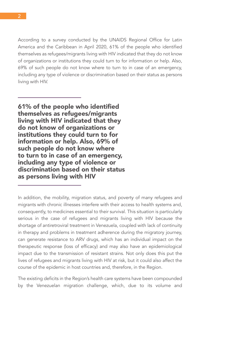According to a survey conducted by the UNAIDS Regional Office for Latin America and the Caribbean in April 2020, 61% of the people who identified themselves as refugees/migrants living with HIV indicated that they do not know of organizations or institutions they could turn to for information or help. Also, 69% of such people do not know where to turn to in case of an emergency, including any type of violence or discrimination based on their status as persons living with HIV.

61% of the people who identified themselves as refugees/migrants living with HIV indicated that they do not know of organizations or institutions they could turn to for information or help. Also, 69% of such people do not know where to turn to in case of an emergency, including any type of violence or discrimination based on their status as persons living with HIV

The existing deficits in the Region's health care systems have been compounded by the Venezuelan migration challenge, which, due to its volume and

In addition, the mobility, migration status, and poverty of many refugees and migrants with chronic illnesses interfere with their access to health systems and, consequently, to medicines essential to their survival. This situation is particularly serious in the case of refugees and migrants living with HIV because the shortage of antiretroviral treatment in Venezuela, coupled with lack of continuity in therapy and problems in treatment adherence during the migratory journey, can generate resistance to ARV drugs, which has an individual impact on the therapeutic response (loss of efficacy) and may also have an epidemiological impact due to the transmission of resistant strains. Not only does this put the lives of refugees and migrants living with HIV at risk, but it could also affect the course of the epidemic in host countries and, therefore, in the Region.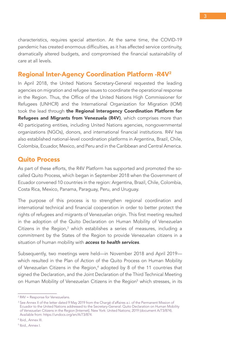characteristics, requires special attention. At the same time, the COVID-19 pandemic has created enormous difficulties, as it has affected service continuity, dramatically altered budgets, and compromised the financial sustainability of care at all levels.

## Regional Inter-Agency Coordination Platform -R4V2

In April 2018, the United Nations Secretary-General requested the leading agencies on migration and refugee issues to coordinate the operational response in the Region. Thus, the Office of the United Nations High Commissioner for Refugees (UNHCR) and the International Organization for Migration (IOM) took the lead through the Regional Interagency Coordination Platform for Refugees and Migrants from Venezuela (R4V), which comprises more than 40 participating entities, including United Nations agencies, nongovernmental organizations (NGOs), donors, and international financial institutions. R4V has also established national-level coordination platforms in Argentina, Brazil, Chile, Colombia, Ecuador, Mexico, and Peru and in the Caribbean and Central America.

## Quito Process

As part of these efforts, the R4V Platform has supported and promoted the socalled Quito Process, which began in September 2018 when the Government of Ecuador convened 10 countries in the region: Argentina, Brazil, Chile, Colombia, Costa Rica, Mexico, Panama, Paraguay, Peru, and Uruguay.

The purpose of this process is to strengthen regional coordination and international technical and financial cooperation in order to better protect the rights of refugees and migrants of Venezuelan origin. This first meeting resulted in the adoption of the Quito Declaration on Human Mobility of Venezuelan Citizens in the Region,<sup>3</sup> which establishes a series of measures, including a commitment by the States of the Region to provide Venezuelan citizens in a situation of human mobility with *access to health services*.

Subsequently, two meetings were held—in November 2018 and April 2019 which resulted in the Plan of Action of the Quito Process on Human Mobility of Venezuelan Citizens in the Region,<sup>4</sup> adopted by 8 of the 11 countries that signed the Declaration, and the Joint Declaration of the Third Technical Meeting on Human Mobility of Venezuelan Citizens in the Region<sup>5</sup> which stresses, in its

<sup>2</sup> R4V = Response for Venezuelans.

<sup>&</sup>lt;sup>3</sup> See Annex II of the letter dated 9 May 2019 from the Chargé d'affaires a.i. of the Permanent Mission of Ecuador to the United Nations addressed to the Secretary-General: Quito Declaration on Human Mobility of Venezuelan Citizens in the Region [Internet]. New York: United Nations; 2019 (document A/73/874). Available from: https://undocs.org/en/A/73/874.

<sup>4</sup> Ibid., Annex III.

<sup>5</sup> Ibid., Annex I.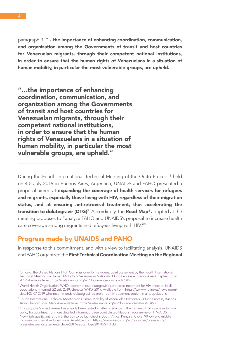paragraph 3, "…the importance of enhancing coordination, communication, and organization among the Governments of transit and host countries for Venezuelan migrants, through their competent national institutions, in order to ensure that the human rights of Venezuelans in a situation of human mobility, in particular the most vulnerable groups, are upheld."

"…the importance of enhancing coordination, communication, and organization among the Governments of transit and host countries for Venezuelan migrants, through their competent national institutions, in order to ensure that the human rights of Venezuelans in a situation of human mobility, in particular the most vulnerable groups, are upheld."

During the Fourth International Technical Meeting of the Quito Process,<sup>6</sup> held on 4-5 July 2019 in Buenos Aires, Argentina, UNAIDS and PAHO presented a proposal aimed at expanding the coverage of health services for refugees and migrants, especially those living with HIV, regardless of their migration status, and at ensuring antiretroviral treatment, thus accelerating the transition to dolutegravir (DTG)<sup>7</sup>. Accordingly, the Road Map<sup>8</sup> adopted at the meeting proposes to "analyze PAHO and UNAIDS's proposal to increase health care coverage among migrants and refugees living with HIV."9

## Progress made by UNAIDS and PAHO

In response to this commitment, and with a view to facilitating analysis, UNAIDS and PAHO organized the First Technical Coordination Meeting on the Regional

<sup>&</sup>lt;sup>6</sup> Office of the United Nations High Commissioner for Refugees. Joint Statement by the Fourth International Technical Meeting on Human Mobility of Venezuelan Nationals. Quito Process – Buenos Aires Chapter, 5 July 2019. Available from: https://data2.unhcr.org/en/documents/download/70457

<sup>7</sup> World Health Organization. WHO recommends dolutegravir as preferred treatment for HIV infection in all populations [Internet]. 22 July 2019. Geneva: WHO; 2019. Available from: [https://www.who.int/es/news-room/](https://www.who.int/es/news-room/detail/22-07-2019-who-recommends-dolutegravir-as-preferred-hiv-treatment-option-in-all-populations) [detail/22-07-2019-who-recommends-dolutegravir-as-preferred-hiv-treatment-option-in-all-populations](https://www.who.int/es/news-room/detail/22-07-2019-who-recommends-dolutegravir-as-preferred-hiv-treatment-option-in-all-populations).

<sup>8</sup> Fourth International Technical Meeting on Human Mobility of Venezuelan Nationals – Quito Process, Buenos Aires Chapter Road Map. Available from: https://data2.unhcr.org/en/documents/details/70458

<sup>&</sup>lt;sup>9</sup> This proposal's effectiveness has already been tested in other scenarios in the framework of a price reduction policy for countries. For more detailed information, see Joint United Nations Programme on HIV/AIDS. New high-quality antiretroviral therapy to be launched in South Africa, Kenya and over 90 low-and middleincome countries at reduced price. Available from: [https://www.unaids.org/en/resources/presscentre/](https://www.unaids.org/en/resources/presscentre/pressreleaseandstatementarchive/2017/september/20170921_TLD) [pressreleaseandstatementarchive/2017/september/20170921\\_TLD](https://www.unaids.org/en/resources/presscentre/pressreleaseandstatementarchive/2017/september/20170921_TLD)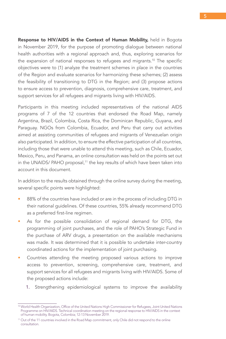Response to HIV/AIDS in the Context of Human Mobility, held in Bogota in November 2019, for the purpose of promoting dialogue between national health authorities with a regional approach and, thus, exploring scenarios for the expansion of national responses to refugees and migrants.<sup>10</sup> The specific objectives were to (1) analyze the treatment schemes in place in the countries of the Region and evaluate scenarios for harmonizing these schemes; (2) assess the feasibility of transitioning to DTG in the Region; and (3) propose actions to ensure access to prevention, diagnosis, comprehensive care, treatment, and support services for all refugees and migrants living with HIV/AIDS.

Participants in this meeting included representatives of the national AIDS programs of 7 of the 12 countries that endorsed the Road Map, namely Argentina, Brazil, Colombia, Costa Rica, the Dominican Republic, Guyana, and Paraguay. NGOs from Colombia, Ecuador, and Peru that carry out activities aimed at assisting communities of refugees and migrants of Venezuelan origin also participated. In addition, to ensure the effective participation of all countries, including those that were unable to attend this meeting, such as Chile, Ecuador, Mexico, Peru, and Panama, an online consultation was held on the points set out in the UNAIDS/ PAHO proposal,<sup>11</sup> the key results of which have been taken into account in this document.

In addition to the results obtained through the online survey during the meeting, several specific points were highlighted:

- 88% of the countries have included or are in the process of including DTG in their national guidelines. Of these countries, 55% already recommend DTG as a preferred first-line regimen.
- As for the possible consolidation of regional demand for DTG, the programming of joint purchases, and the role of PAHO's Strategic Fund in the purchase of ARV drugs, a presentation on the available mechanisms was made. It was determined that it is possible to undertake inter-country coordinated actions for the implementation of joint purchasing.
- Countries attending the meeting proposed various actions to improve access to prevention, screening, comprehensive care, treatment, and support services for all refugees and migrants living with HIV/AIDS. Some of the proposed actions include:
	- 1. Strengthening epidemiological systems to improve the availability

<sup>10</sup> World Health Organization, Office of the United Nations High Commissioner for Refugees, Joint United Nations Programme on HIV/AIDS. Technical coordination meeting on the regional response to HIV/AIDS in the context of human mobility. Bogota, Colombia; 12-13 November 2019.

<sup>&</sup>lt;sup>11</sup> Out of the 11 countries involved in the Road Map commitment, only Chile did not respond to the online consultation.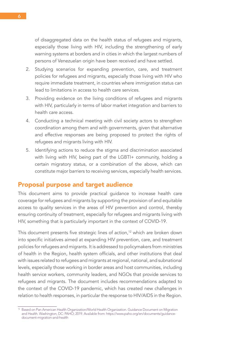of disaggregated data on the health status of refugees and migrants, especially those living with HIV, including the strengthening of early warning systems at borders and in cities in which the largest numbers of persons of Venezuelan origin have been received and have settled.

- 2. Studying scenarios for expanding prevention, care, and treatment policies for refugees and migrants, especially those living with HIV who require immediate treatment, in countries where immigration status can lead to limitations in access to health care services.
- 3. Providing evidence on the living conditions of refugees and migrants with HIV, particularly in terms of labor market integration and barriers to health care access.
- 4. Conducting a technical meeting with civil society actors to strengthen coordination among them and with governments, given that alternative and effective responses are being proposed to protect the rights of refugees and migrants living with HIV.
- 5. Identifying actions to reduce the stigma and discrimination associated with living with HIV, being part of the LGBTI+ community, holding a certain migratory status, or a combination of the above, which can constitute major barriers to receiving services, especially health services.

## Proposal purpose and target audience

This document aims to provide practical guidance to increase health care coverage for refugees and migrants by supporting the provision of and equitable access to quality services in the areas of HIV prevention and control, thereby ensuring continuity of treatment, especially for refugees and migrants living with HIV, something that is particularly important in the context of COVID-19.

This document presents five strategic lines of action,<sup>12</sup> which are broken down into specific initiatives aimed at expanding HIV prevention, care, and treatment policies for refugees and migrants. It is addressed to policymakers from ministries of health in the Region, health system officials, and other institutions that deal with issues related to refugees and migrants at regional, national, and subnational levels, especially those working in border areas and host communities, including health service workers, community leaders, and NGOs that provide services to refugees and migrants. The document includes recommendations adapted to the context of the COVID-19 pandemic, which has created new challenges in relation to health responses, in particular the response to HIV/AIDS in the Region.

<sup>&</sup>lt;sup>12</sup> Based on Pan American Health Organization/World Health Organization. Guidance Document on Migration and Health. Washington, DC: PAHO; 2019. Available from: https://www.paho.org/en/documents/guidancedocument-migration-and-health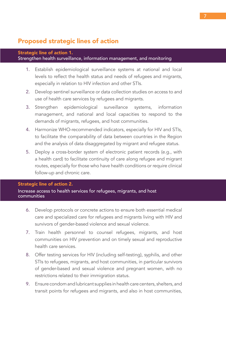## Proposed strategic lines of action

## Strategic line of action 1. Strengthen health surveillance, information management, and monitoring

- 1. Establish epidemiological surveillance systems at national and local levels to reflect the health status and needs of refugees and migrants, especially in relation to HIV infection and other STIs.
- 2. Develop sentinel surveillance or data collection studies on access to and use of health care services by refugees and migrants.
- 3. Strengthen epidemiological surveillance systems, information management, and national and local capacities to respond to the demands of migrants, refugees, and host communities.
- 4. Harmonize WHO-recommended indicators, especially for HIV and STIs, to facilitate the comparability of data between countries in the Region and the analysis of data disaggregated by migrant and refugee status.
- 5. Deploy a cross-border system of electronic patient records (e.g., with a health card) to facilitate continuity of care along refugee and migrant routes, especially for those who have health conditions or require clinical follow-up and chronic care.

### Strategic line of action 2.

Increase access to health services for refugees, migrants, and host communities

- 6. Develop protocols or concrete actions to ensure both essential medical care and specialized care for refugees and migrants living with HIV and survivors of gender-based violence and sexual violence.
- 7. Train health personnel to counsel refugees, migrants, and host communities on HIV prevention and on timely sexual and reproductive health care services.
- 8. Offer testing services for HIV (including self-testing), syphilis, and other STIs to refugees, migrants, and host communities, in particular survivors of gender-based and sexual violence and pregnant women, with no restrictions related to their immigration status.
- 9. Ensure condom and lubricant supplies in health care centers, shelters, and transit points for refugees and migrants, and also in host communities,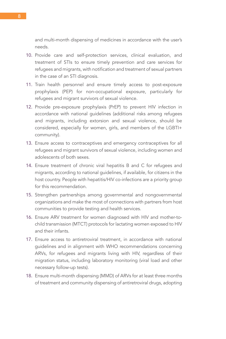and multi-month dispensing of medicines in accordance with the user's needs.

- 10. Provide care and self-protection services, clinical evaluation, and treatment of STIs to ensure timely prevention and care services for refugees and migrants, with notification and treatment of sexual partners in the case of an STI diagnosis.
- 11. Train health personnel and ensure timely access to post-exposure prophylaxis (PEP) for non-occupational exposure, particularly for refugees and migrant survivors of sexual violence.
- 12. Provide pre-exposure prophylaxis (PrEP) to prevent HIV infection in accordance with national guidelines (additional risks among refugees and migrants, including extorsion and sexual violence, should be considered, especially for women, girls, and members of the LGBTI+ community).
- 13. Ensure access to contraceptives and emergency contraceptives for all refugees and migrant survivors of sexual violence, including women and adolescents of both sexes.
- 14. Ensure treatment of chronic viral hepatitis B and C for refugees and migrants, according to national guidelines, if available, for citizens in the host country. People with hepatitis/HIV co-infections are a priority group for this recommendation.
- 15. Strengthen partnerships among governmental and nongovernmental organizations and make the most of connections with partners from host communities to provide testing and health services.
- 16. Ensure ARV treatment for women diagnosed with HIV and mother-tochild transmission (MTCT) protocols for lactating women exposed to HIV and their infants.
- 17. Ensure access to antiretroviral treatment, in accordance with national guidelines and in alignment with WHO recommendations concerning ARVs, for refugees and migrants living with HIV, regardless of their migration status, including laboratory monitoring (viral load and other necessary follow-up tests).
- 18. Ensure multi-month dispensing (MMD) of ARVs for at least three months of treatment and community dispensing of antiretroviral drugs, adopting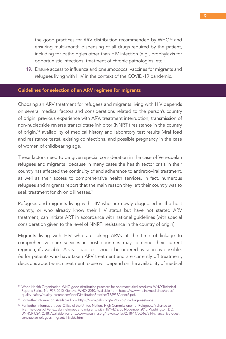the good practices for ARV distribution recommended by WHO<sup>13</sup> and ensuring multi-month dispensing of all drugs required by the patient, including for pathologies other than HIV infection (e.g., prophylaxis for opportunistic infections, treatment of chronic pathologies, etc.).

19. Ensure access to influenza and pneumococcal vaccines for migrants and refugees living with HIV in the context of the COVID-19 pandemic.

### Guidelines for selection of an ARV regimen for migrants

Choosing an ARV treatment for refugees and migrants living with HIV depends on several medical factors and considerations related to the person's country of origin: previous experience with ARV, treatment interruption, transmission of non-nucleoside reverse transcriptase inhibitor (NNRTI) resistance in the country of origin,14 availability of medical history and laboratory test results (viral load and resistance tests), existing coinfections, and possible pregnancy in the case of women of childbearing age.

These factors need to be given special consideration in the case of Venezuelan refugees and migrants because in many cases the health sector crisis in their country has affected the continuity of and adherence to antiretroviral treatment, as well as their access to comprehensive health services. In fact, numerous refugees and migrants report that the main reason they left their country was to seek treatment for chronic illnesses.<sup>15</sup>

Refugees and migrants living with HIV who are newly diagnosed in the host country, or who already know their HIV status but have not started ARV treatment, can initiate ART in accordance with national guidelines (with special consideration given to the level of NNRTI resistance in the country of origin).

Migrants living with HIV who are taking ARVs at the time of linkage to comprehensive care services in host countries may continue their current regimen, if available. A viral load test should be ordered as soon as possible. As for patients who have taken ARV treatment and are currently off treatment, decisions about which treatment to use will depend on the availability of medical

<sup>&</sup>lt;sup>13</sup> World Health Organization. WHO good distribution practices for pharmaceutical products. WHO Technical Reports Series, No. 957, 2010. Geneva: WHO; 2010. Available from: [https://www.who.int/medicines/areas/](https://www.who.int/medicines/areas/quality_safety/quality_assurance/GoodDistributionPracticesTRS957Annex5.pdf) [quality\\_safety/quality\\_assurance/GoodDistributionPracticesTRS957Annex5.pdf](https://www.who.int/medicines/areas/quality_safety/quality_assurance/GoodDistributionPracticesTRS957Annex5.pdf).

<sup>14</sup> For further information. Available from:<https://www.paho.org/en/topics/hiv-drug-resistance>.

<sup>15</sup> For further information, see Office of the United Nations High Commissioner for Refugees. A chance to live: The quest of Venezuelan refugees and migrants with HIV/AIDS. 30 November 2018. Washington, DC: UNHCR USA; 2018. Available from: https://www.unhcr.org/news/stories/2018/11/5c0167814/chance-live-questvenezuelan-refugees-migrants-hivaids.html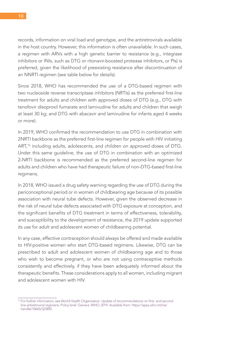records, information on viral load and genotype, and the antiretrovirals available in the host country. However, this information is often unavailable. In such cases, a regimen with ARVs with a high genetic barrier to resistance (e.g., integrase inhibitors or INIs, such as DTG or ritonavir-boosted protease inhibitors, or PIs) is preferred, given the likelihood of preexisting resistance after discontinuation of an NNRTI regimen (see table below for details).

Since 2018, WHO has recommended the use of a DTG-based regimen with two nucleoside reverse transcriptase inhibitors (NRTIs) as the preferred first-line treatment for adults and children with approved doses of DTG (e.g., DTG with tenofovir disoproxil fumarate and lamivudine for adults and children that weigh at least 30 kg; and DTG with abacavir and lamivudine for infants aged 4 weeks or more).

In 2019, WHO confirmed the recommendation to use DTG in combination with 2NRTI backbone as the preferred first-line regimen for people with HIV initiating ART,<sup>16</sup> including adults, adolescents, and children on approved doses of DTG. Under this same guideline, the use of DTG in combination with an optimized 2-NRTI backbone is recommended as the preferred second-line regimen for adults and children who have had therapeutic failure of non-DTG-based first-line regimens.

In 2018, WHO issued a drug safety warning regarding the use of DTG during the periconceptional period or in women of childbearing age because of its possible association with neural tube defects. However, given the observed decrease in the risk of neural tube defects associated with DTG exposure at conception, and the significant benefits of DTG treatment in terms of effectiveness, tolerability, and susceptibility to the development of resistance, the 2019 update supported its use for adult and adolescent women of childbearing potential.

In any case, effective contraception should always be offered and made available to HIV-positive women who start DTG-based regimens. Likewise, DTG can be prescribed to adult and adolescent women of childbearing age and to those who wish to become pregnant, or who are not using contraceptive methods consistently and effectively, if they have been adequately informed about the therapeutic benefits. These considerations apply to all women, including migrant and adolescent women with HIV.

<sup>&</sup>lt;sup>16</sup> For further information, see World Health Organization. Update of recommendations on first- and secondline antiretroviral regimens. Policy brief. Geneva: WHO; 2019. Available from: [https://apps.who.int/iris/](https://apps.who.int/iris/handle/10665/325892) [handle/10665/325892](https://apps.who.int/iris/handle/10665/325892)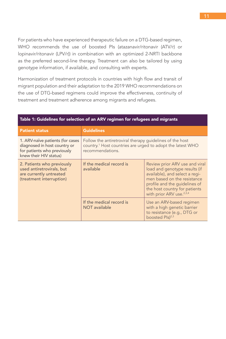For patients who have experienced therapeutic failure on a DTG-based regimen, WHO recommends the use of boosted PIs (atazanavir/ritonavir (ATV/r) or lopinavir/ritonavir (LPV/r)) in combination with an optimized 2-NRTI backbone as the preferred second-line therapy. Treatment can also be tailored by using genotype information, if available, and consulting with experts.

Harmonization of treatment protocols in countries with high flow and transit of migrant population and their adaptation to the 2019 WHO recommendations on the use of DTG-based regimens could improve the effectiveness, continuity of treatment and treatment adherence among migrants and refugees.

| <b>Patient status</b>                                                                                                     | <b>Guidelines</b>                                                                                                                                      |                                                                                                                                                                                                                                            |  |  |  |
|---------------------------------------------------------------------------------------------------------------------------|--------------------------------------------------------------------------------------------------------------------------------------------------------|--------------------------------------------------------------------------------------------------------------------------------------------------------------------------------------------------------------------------------------------|--|--|--|
| 1. ARV-naïve patients (for cases<br>diagnosed in host country or<br>for patients who previously<br>knew their HIV status) | Follow the antiretroviral therapy guidelines of the host<br>country. <sup>1</sup> Host countries are urged to adopt the latest WHO<br>recommendations. |                                                                                                                                                                                                                                            |  |  |  |
| 2. Patients who previously<br>used antiretrovirals, but<br>are currently untreated<br>(treatment interruption)            | If the medical record is<br>available                                                                                                                  | Review prior ARV use and viral<br>load and genotype results (if<br>available), and select a regi-<br>men based on the resistance<br>profile and the guidelines of<br>the host country for patients<br>with prior ARV use. <sup>2,3,4</sup> |  |  |  |
|                                                                                                                           | If the medical record is<br>NOT available                                                                                                              | Use an ARV-based regimen<br>with a high genetic barrier<br>to resistance (e.g., DTG or<br>boosted Pls) <sup>2,3</sup>                                                                                                                      |  |  |  |

## Table 1: Guidelines for selection of an ARV regimen for refugees and migrants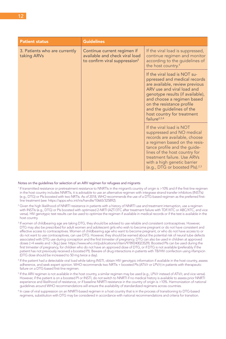| <b>Patient status</b>                        | <b>Guidelines</b>                                                                                          |                                                                                                                                                                                                                                                                                                           |  |
|----------------------------------------------|------------------------------------------------------------------------------------------------------------|-----------------------------------------------------------------------------------------------------------------------------------------------------------------------------------------------------------------------------------------------------------------------------------------------------------|--|
| 3. Patients who are currently<br>taking ARVs | Continue current regimen if<br>available and check viral load<br>to confirm viral suppression <sup>5</sup> | If the viral load is suppressed,<br>continue regimen and monitor<br>according to the guidelines of<br>the host country. <sup>6</sup>                                                                                                                                                                      |  |
|                                              |                                                                                                            | If the viral load is NOT su-<br>ppressed and medical records<br>are available, review previous<br>ARV use and viral load and<br>genotype results (if available),<br>and choose a regimen based<br>on the resistance profile<br>and the guidelines of the<br>host country for treatment<br>failure $2,3,4$ |  |
|                                              |                                                                                                            | If the viral load is NOT<br>suppressed and NO medical<br>records are available, choose<br>a regimen based on the resis-<br>tance profile and the guide-<br>lines of the host country for<br>treatment failure. Use ARVs<br>with a high genetic barrier<br>(e.g., DTG or boosted Pls). <sup>2,3</sup>      |  |

#### Notes on the guidelines for selection of an ARV regimen for refugees and migrants

- <sup>1</sup> If transmitted resistance or pretreatment resistance to NNRTIs in the migrant's country of origin is >10% and if the first-line regimen in the host country includes NNRTIs, it is advisable to use an alternative regimen with integrase strand transfer inhibitors (INSTIs) (e.g., DTG) or PIs boosted with two NRTIs. As of 2018, WHO recommends the use of a DTG-based regimen as the preferred firstline treatment (see: <https://apps.who.int/iris/handle/10665/325892>).
- <sup>2</sup> Given the high likelihood of NNRTI resistance in patients with a history of NNRTI use and treatment interruption, use a regimen with INSTIs (e.g., DTG) or PIs boosted with optimized 2-NRTI (AZT/3TC after treatment failure with TDF/XTC or ABC/XTC, and vice versa). HIV genotypic test results can be used to optimize the regimen if available in medical records or if the test is available in the host country.
- <sup>3</sup> If women of childbearing age are taking DTG, they should be advised to use reliable and consistent contraceptives. However, DTG may also be prescribed for adult women and adolescent girls who wish to become pregnant or do not have consistent and effective access to contraceptives. Women of childbearing age who want to become pregnant, or who do not have access to or do not want to use contraceptives, can use DTG. However, they should be warned about the potential risk of neural tube defects associated with DTG use during conception and the first trimester of pregnancy. DTG can also be used in children at approved doses (>4 weeks and >3kg.) (see: [https://www.who.int/publications/i/item/9789240023529\)](https://www.who.int/publications/i/item/9789240023529). Boosted PIs can be used during the first trimester of pregnancy, for children who do not have an approved dose of DTG, or if DTG is not available (preferably if the patient has not previously received a boosted PI). Beware of drug interactions in patients with TB/HIV coinfection using rifampicin (DTG dose should be increased to 50 mg twice a day).
- <sup>4</sup> If the patient had a detectable viral load while taking INSTI, obtain HIV genotypic information if available in the host country, assess adherence, and seek expert opinion. WHO recommends two NRTIs + boosted PIs (ATV/r or LPV/r) in patients with therapeutic failure on a DTG-based first-line regimen.
- <sup>5</sup> If the ARV regimen is not available in the host country, a similar regimen may be used (e.g., LPV/r instead of ATV/r, and vice versa). However, if the patient is on a boosted PI or INSTI, do not switch to NNRTI if no medical history is available to assess prior NNRTI experience and likelihood of resistance, or if baseline NNRTI resistance in the country of origin is >10%. Harmonization of national guidelines around WHO recommendations will ensure the availability of standardized regimens across countries.
- <sup>6</sup> In case of viral suppression on an NNRTI-based regimen in a host country that is in the process of transitioning to DTG-based regimens, substitution with DTG may be considered in accordance with national recommendations and criteria for transition.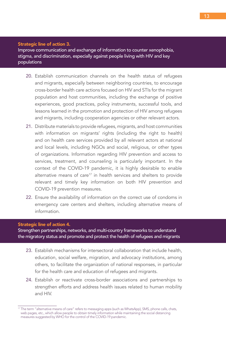#### Strategic line of action 3.

Improve communication and exchange of information to counter xenophobia, stigma, and discrimination, especially against people living with HIV and key populations

- 20. Establish communication channels on the health status of refugees and migrants, especially between neighboring countries, to encourage cross-border health care actions focused on HIV and STIs for the migrant population and host communities, including the exchange of positive experiences, good practices, policy instruments, successful tools, and lessons learned in the promotion and protection of HIV among refugees and migrants, including cooperation agencies or other relevant actors.
- 21. Distribute materials to provide refugees, migrants, and host communities with information on migrants' rights (including the right to health) and on health care services provided by all relevant actors at national and local levels, including NGOs and social, religious, or other types of organizations. Information regarding HIV prevention and access to services, treatment, and counseling is particularly important. In the context of the COVID-19 pandemic, it is highly desirable to enable alternative means of care<sup>17</sup> in health services and shelters to provide relevant and timely key information on both HIV prevention and COVID-19 prevention measures.
- 22. Ensure the availability of information on the correct use of condoms in emergency care centers and shelters, including alternative means of information.

### Strategic line of action 4.

Strengthen partnerships, networks, and multi-country frameworks to understand the migratory status and promote and protect the health of refugees and migrants

- 23. Establish mechanisms for intersectoral collaboration that include health, education, social welfare, migration, and advocacy institutions, among others, to facilitate the organization of national responses, in particular for the health care and education of refugees and migrants.
- 24. Establish or reactivate cross-border associations and partnerships to strengthen efforts and address health issues related to human mobility and HIV.

<sup>&</sup>lt;sup>17</sup> The term "alternative means of care" refers to messaging apps (such as WhatsApp), SMS, phone calls, chats, web pages, etc., which allow people to obtain timely information while maintaining the social distancing measures suggested by WHO for the control of the COVID-19 pandemic.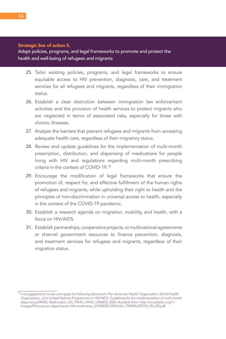#### Strategic line of action 5.

Adapt policies, programs, and legal frameworks to promote and protect the health and well-being of refugees and migrants

- 25. Tailor existing policies, programs, and legal frameworks to ensure equitable access to HIV prevention, diagnosis, care, and treatment services for all refugees and migrants, regardless of their immigration status.
- 26. Establish a clear distinction between immigration law enforcement activities and the provision of health services to protect migrants who are neglected in terms of associated risks, especially for those with chronic illnesses.
- 27. Analyze the barriers that prevent refugees and migrants from accessing adequate health care, regardless of their migratory status.
- 28. Review and update guidelines for the implementation of multi-month prescription, distribution, and dispensing of medications for people living with HIV and regulations regarding multi-month prescribing criteria in the context of COVID-19.18
- 29. Encourage the modification of legal frameworks that ensure the promotion of, respect for, and effective fulfillment of the human rights of refugees and migrants, while upholding their right to health and the principles of non-discrimination in universal access to health, especially in the context of the COVID-19 pandemic.
- 30. Establish a research agenda on migration, mobility, and health, with a focus on HIV/AIDS.
- 31. Establish partnerships, cooperative projects, or multinational agreements or channel government resources to finance prevention, diagnosis, and treatment services for refugees and migrants, regardless of their migration status.

<sup>&</sup>lt;sup>18</sup> It is suggested to review and apply the following document: Pan American Health Organization, World Health Organization, Joint United Nations Programme on HIV/AIDS. Guidelines for the implementation of multi-month dispensing (MMD). Washington, DC; PAHO, WHO, UNAIDS; 2020. Available from: http://onusidalac.org/1/ images/Prescripcion-dispensacion-Mx-multimese\_v21042020-ENGLISH\_TRANSLATION\_PA\_GR.pdf